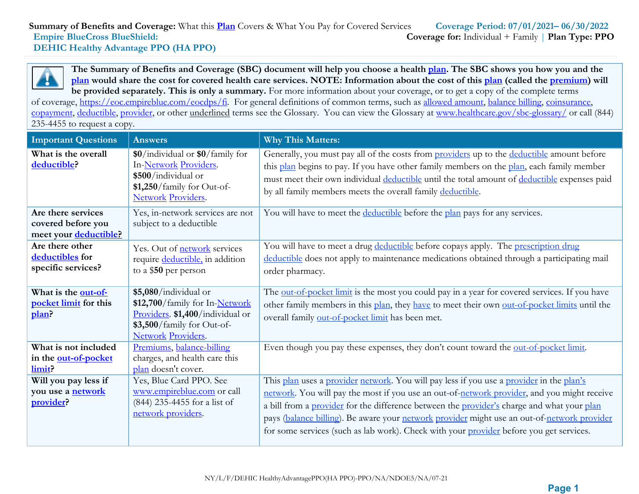**The Summary of Benefits and Coverage (SBC) document will help you choose a health [plan.](https://www.healthcare.gov/sbc-glossary/) The SBC shows you how you and the [plan](https://www.healthcare.gov/sbc-glossary/) would share the cost for covered health care services. NOTE: Information about the cost of this [plan](https://www.healthcare.gov/sbc-glossary/) (called the [premium\)](https://www.healthcare.gov/sbc-glossary/) will be provided separately. This is only a summary.** For more information about your coverage, or to get a copy of the complete terms

of coverage, [https://eoc.empireblue.com/eocdps/fi.](https://eoc.empireblue.com/eocdps/fi) For general definitions of common terms, such as [allowed amount, balance billing, coinsurance,](https://www.healthcare.gov/sbc-glossary/) [copayment, deductible, provider,](https://www.healthcare.gov/sbc-glossary/) or other underlined terms see the Glossary. You can view the Glossary at [www.healthcare.gov/sbc-glossary/](http://www.healthcare.gov/sbc-glossary/) or call (844) 235-4455 to request a copy.

| <b>Important Questions</b>                                        | <b>Answers</b>                                                                                                                                  | <b>Why This Matters:</b>                                                                                                                                                                                                                                                                                                                                                                                                                                                        |
|-------------------------------------------------------------------|-------------------------------------------------------------------------------------------------------------------------------------------------|---------------------------------------------------------------------------------------------------------------------------------------------------------------------------------------------------------------------------------------------------------------------------------------------------------------------------------------------------------------------------------------------------------------------------------------------------------------------------------|
| What is the overall<br>deductible?                                | \$0/individual or \$0/family for<br>In-Network Providers.<br>\$500/individual or<br>\$1,250/family for Out-of-<br>Network Providers.            | Generally, you must pay all of the costs from providers up to the deductible amount before<br>this plan begins to pay. If you have other family members on the plan, each family member<br>must meet their own individual deductible until the total amount of deductible expenses paid<br>by all family members meets the overall family deductible.                                                                                                                           |
| Are there services<br>covered before you<br>meet your deductible? | Yes, in-network services are not<br>subject to a deductible                                                                                     | You will have to meet the deductible before the plan pays for any services.                                                                                                                                                                                                                                                                                                                                                                                                     |
| Are there other<br>deductibles for<br>specific services?          | Yes. Out of network services<br>require deductible, in addition<br>to a \$50 per person                                                         | You will have to meet a drug deductible before copays apply. The prescription drug<br>deductible does not apply to maintenance medications obtained through a participating mail<br>order pharmacy.                                                                                                                                                                                                                                                                             |
| What is the out-of-<br>pocket limit for this<br>plan?             | \$5,080/individual or<br>\$12,700/family for In-Network<br>Providers. \$1,400/individual or<br>\$3,500/family for Out-of-<br>Network Providers. | The out-of-pocket limit is the most you could pay in a year for covered services. If you have<br>other family members in this plan, they have to meet their own out-of-pocket limits until the<br>overall family out-of-pocket limit has been met.                                                                                                                                                                                                                              |
| What is not included<br>in the out-of-pocket<br>limit?            | Premiums, balance-billing<br>charges, and health care this<br>plan doesn't cover.                                                               | Even though you pay these expenses, they don't count toward the out-of-pocket limit.                                                                                                                                                                                                                                                                                                                                                                                            |
| Will you pay less if<br>you use a <b>network</b><br>provider?     | Yes, Blue Card PPO. See<br>www.empireblue.com or call<br>$(844)$ 235-4455 for a list of<br>network providers.                                   | This plan uses a provider network. You will pay less if you use a provider in the plan's<br>network. You will pay the most if you use an out-of-network provider, and you might receive<br>a bill from a provider for the difference between the provider's charge and what your plan<br>pays (balance billing). Be aware your network provider might use an out-of-network provider<br>for some services (such as lab work). Check with your provider before you get services. |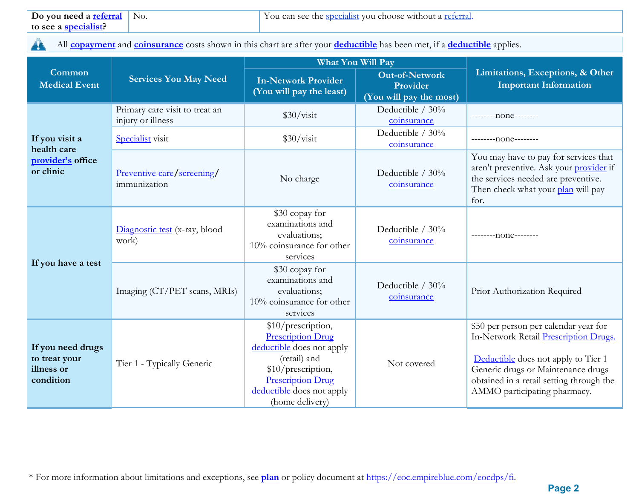All **[copayment](https://www.healthcare.gov/sbc-glossary/)** and **[coinsurance](https://www.healthcare.gov/sbc-glossary/)** costs shown in this chart are after your **[deductible](https://www.healthcare.gov/sbc-glossary/)** has been met, if a **[deductible](https://www.healthcare.gov/sbc-glossary/)** applies. A

|                                                               |                                                     | What You Will Pay                                                                                                                                                                             |                                                              | Limitations, Exceptions, & Other<br><b>Important Information</b>                                                                                                                                                                        |  |
|---------------------------------------------------------------|-----------------------------------------------------|-----------------------------------------------------------------------------------------------------------------------------------------------------------------------------------------------|--------------------------------------------------------------|-----------------------------------------------------------------------------------------------------------------------------------------------------------------------------------------------------------------------------------------|--|
| Common<br><b>Medical Event</b>                                | <b>Services You May Need</b>                        | <b>In-Network Provider</b><br>(You will pay the least)                                                                                                                                        | <b>Out-of-Network</b><br>Provider<br>(You will pay the most) |                                                                                                                                                                                                                                         |  |
|                                                               | Primary care visit to treat an<br>injury or illness | \$30/vist                                                                                                                                                                                     | Deductible $/30\%$<br>coinsurance                            | ---------none--------                                                                                                                                                                                                                   |  |
| If you visit a                                                | Specialist visit                                    | \$30/vist                                                                                                                                                                                     | Deductible / 30%<br>coinsurance                              | --------none--------                                                                                                                                                                                                                    |  |
| health care<br>provider's office<br>or clinic                 | Preventive care/screening/<br>immunization          | Deductible $/30\%$<br>No charge<br>coinsurance                                                                                                                                                |                                                              | You may have to pay for services that<br>aren't preventive. Ask your provider if<br>the services needed are preventive.<br>Then check what your plan will pay<br>for.                                                                   |  |
| If you have a test                                            | Diagnostic test (x-ray, blood<br>work)              | \$30 copay for<br>examinations and<br>evaluations;<br>$10\%$ coinsurance for other<br>services                                                                                                | Deductible / 30%<br>coinsurance                              | $------10n$ e -------                                                                                                                                                                                                                   |  |
|                                                               | Imaging (CT/PET scans, MRIs)                        | \$30 copay for<br>examinations and<br>evaluations;<br>$10\%$ coinsurance for other<br>services                                                                                                | Deductible $/30\%$<br>coinsurance                            | Prior Authorization Required                                                                                                                                                                                                            |  |
| If you need drugs<br>to treat your<br>illness or<br>condition | Tier 1 - Typically Generic                          | \$10/prescription,<br><b>Prescription Drug</b><br>deductible does not apply<br>(retail) and<br>\$10/prescription,<br><b>Prescription Drug</b><br>deductible does not apply<br>(home delivery) | Not covered                                                  | \$50 per person per calendar year for<br>In-Network Retail Prescription Drugs.<br>Deductible does not apply to Tier 1<br>Generic drugs or Maintenance drugs<br>obtained in a retail setting through the<br>AMMO participating pharmacy. |  |

\* For more information about limitations and exceptions, see **plan** or policy document at [https://eoc.empireblue.com/eocdps/fi.](https://eoc.empireblue.com/eocdps/fi)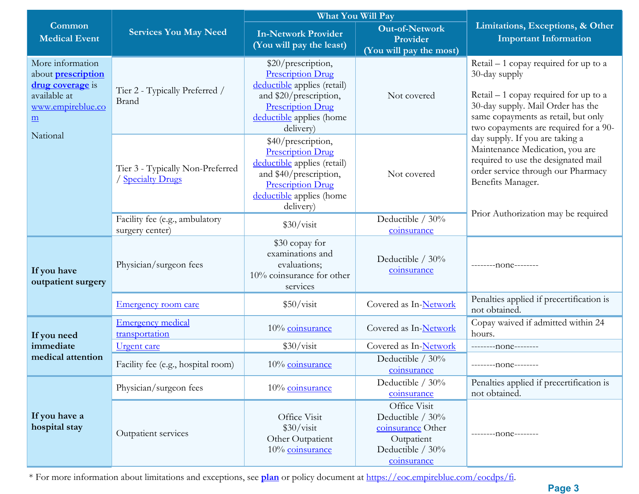|                                                                                                                           |                                                       | What You Will Pay                                                                                                                                                            |                                                                                                        |                                                                                                                                                                                                                                                                                                                                                                                                                                        |  |
|---------------------------------------------------------------------------------------------------------------------------|-------------------------------------------------------|------------------------------------------------------------------------------------------------------------------------------------------------------------------------------|--------------------------------------------------------------------------------------------------------|----------------------------------------------------------------------------------------------------------------------------------------------------------------------------------------------------------------------------------------------------------------------------------------------------------------------------------------------------------------------------------------------------------------------------------------|--|
| Common<br><b>Medical Event</b>                                                                                            | <b>Services You May Need</b>                          | <b>In-Network Provider</b><br>(You will pay the least)                                                                                                                       | <b>Out-of-Network</b><br>Provider<br>(You will pay the most)                                           | Limitations, Exceptions, & Other<br><b>Important Information</b>                                                                                                                                                                                                                                                                                                                                                                       |  |
| More information<br>about <b>prescription</b><br>drug coverage is<br>available at<br>www.empireblue.co<br>$\underline{m}$ | Tier 2 - Typically Preferred /<br>Brand               | \$20/prescription,<br><b>Prescription Drug</b><br>deductible applies (retail)<br>and \$20/prescription,<br><b>Prescription Drug</b><br>deductible applies (home<br>delivery) | Not covered                                                                                            | Retail $-1$ copay required for up to a<br>30-day supply<br>$Retail - 1$ copay required for up to a<br>30-day supply. Mail Order has the<br>same copayments as retail, but only<br>two copayments are required for a 90-<br>day supply. If you are taking a<br>Maintenance Medication, you are<br>required to use the designated mail<br>order service through our Pharmacy<br>Benefits Manager.<br>Prior Authorization may be required |  |
| National                                                                                                                  | Tier 3 - Typically Non-Preferred<br>/ Specialty Drugs | \$40/prescription,<br><b>Prescription Drug</b><br>deductible applies (retail)<br>and \$40/prescription,<br><b>Prescription Drug</b><br>deductible applies (home<br>delivery) | Not covered                                                                                            |                                                                                                                                                                                                                                                                                                                                                                                                                                        |  |
|                                                                                                                           | Facility fee (e.g., ambulatory<br>surgery center)     | \$30/vist                                                                                                                                                                    | Deductible / 30%<br>coinsurance                                                                        |                                                                                                                                                                                                                                                                                                                                                                                                                                        |  |
| If you have<br>outpatient surgery                                                                                         | Physician/surgeon fees                                | \$30 copay for<br>examinations and<br>evaluations;<br>10% coinsurance for other<br>services                                                                                  | Deductible $/30\%$<br>coinsurance                                                                      | --------- none--------                                                                                                                                                                                                                                                                                                                                                                                                                 |  |
|                                                                                                                           | <b>Emergency room care</b>                            | \$50/visit                                                                                                                                                                   | Covered as In-Network                                                                                  | Penalties applied if precertification is<br>not obtained.                                                                                                                                                                                                                                                                                                                                                                              |  |
| If you need                                                                                                               | <b>Emergency medical</b><br>transportation            | 10% coinsurance                                                                                                                                                              | Covered as In-Network                                                                                  | Copay waived if admitted within 24<br>hours.                                                                                                                                                                                                                                                                                                                                                                                           |  |
| immediate                                                                                                                 | <u>Urgent</u> care                                    | \$30/vist                                                                                                                                                                    | Covered as In-Network                                                                                  | ---------none--------                                                                                                                                                                                                                                                                                                                                                                                                                  |  |
| medical attention                                                                                                         | Facility fee (e.g., hospital room)                    | 10% coinsurance                                                                                                                                                              | Deductible / 30%<br>coinsurance                                                                        | --------- none--------                                                                                                                                                                                                                                                                                                                                                                                                                 |  |
| If you have a<br>hospital stay                                                                                            | Physician/surgeon fees                                | 10% coinsurance                                                                                                                                                              | Deductible / 30%<br>coinsurance                                                                        | Penalties applied if precertification is<br>not obtained.                                                                                                                                                                                                                                                                                                                                                                              |  |
|                                                                                                                           | Outpatient services                                   | Office Visit<br>\$30/visit<br>Other Outpatient<br>10% coinsurance                                                                                                            | Office Visit<br>Deductible / 30%<br>coinsurance Other<br>Outpatient<br>Deductible / 30%<br>coinsurance | ---------none--------                                                                                                                                                                                                                                                                                                                                                                                                                  |  |

\* For more information about limitations and exceptions, see **plan** or policy document at [https://eoc.empireblue.com/eocdps/fi.](https://eoc.empireblue.com/eocdps/fi)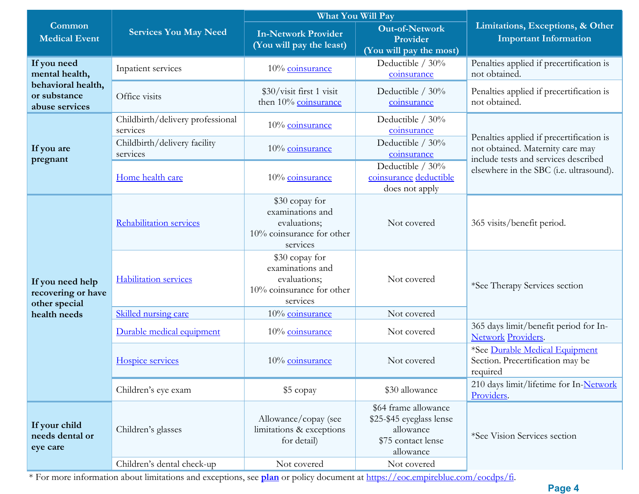|                                                         |                                              | What You Will Pay                                                                                          |                                                                                                  | Limitations, Exceptions, & Other<br><b>Important Information</b>                                                     |  |
|---------------------------------------------------------|----------------------------------------------|------------------------------------------------------------------------------------------------------------|--------------------------------------------------------------------------------------------------|----------------------------------------------------------------------------------------------------------------------|--|
| Common<br><b>Medical Event</b>                          | <b>Services You May Need</b>                 | <b>In-Network Provider</b><br>(You will pay the least)                                                     | <b>Out-of-Network</b><br>Provider<br>(You will pay the most)                                     |                                                                                                                      |  |
| If you need<br>mental health,                           | Inpatient services                           | 10% coinsurance                                                                                            | Deductible / 30%<br>coinsurance                                                                  | Penalties applied if precertification is<br>not obtained.                                                            |  |
| behavioral health,<br>or substance<br>abuse services    | Office visits                                | \$30/visit first 1 visit<br>then 10% coinsurance                                                           | Deductible $/30\%$<br>coinsurance                                                                | Penalties applied if precertification is<br>not obtained.                                                            |  |
|                                                         | Childbirth/delivery professional<br>services | 10% coinsurance                                                                                            | Deductible $/30\%$<br>coinsurance                                                                |                                                                                                                      |  |
| If you are<br>pregnant                                  | Childbirth/delivery facility<br>services     | 10% coinsurance                                                                                            | Deductible $/30\%$<br>coinsurance                                                                | Penalties applied if precertification is<br>not obtained. Maternity care may<br>include tests and services described |  |
|                                                         | Home health care                             | 10% coinsurance                                                                                            | Deductible $/30\%$<br>coinsurance deductible<br>does not apply                                   | elsewhere in the SBC (i.e. ultrasound).                                                                              |  |
| If you need help<br>recovering or have<br>other special | Rehabilitation services                      | \$30 copay for<br>examinations and<br>evaluations;<br>Not covered<br>10% coinsurance for other<br>services |                                                                                                  | 365 visits/benefit period.                                                                                           |  |
|                                                         | <b>Habilitation services</b>                 | \$30 copay for<br>examinations and<br>evaluations;<br>10% coinsurance for other<br>services                | Not covered                                                                                      | *See Therapy Services section                                                                                        |  |
| health needs                                            | Skilled nursing care                         | 10% coinsurance                                                                                            | Not covered                                                                                      |                                                                                                                      |  |
|                                                         | Durable medical equipment                    | 10% coinsurance                                                                                            | Not covered                                                                                      | 365 days limit/benefit period for In-<br><b>Network Providers.</b>                                                   |  |
|                                                         | Hospice services                             | 10% coinsurance                                                                                            | Not covered                                                                                      | *See Durable Medical Equipment<br>Section. Precertification may be<br>required                                       |  |
|                                                         | Children's eye exam                          | \$5 copay                                                                                                  | \$30 allowance                                                                                   | 210 days limit/lifetime for In-Network<br>Providers.                                                                 |  |
| If your child<br>needs dental or<br>eye care            | Children's glasses                           | Allowance/copay (see<br>limitations & exceptions<br>for detail)                                            | \$64 frame allowance<br>\$25-\$45 eyeglass lense<br>allowance<br>\$75 contact lense<br>allowance | *See Vision Services section                                                                                         |  |
|                                                         | Children's dental check-up                   | Not covered                                                                                                | Not covered                                                                                      |                                                                                                                      |  |

\* For more information about limitations and exceptions, see **plan** or policy document at [https://eoc.empireblue.com/eocdps/fi.](https://eoc.empireblue.com/eocdps/fi)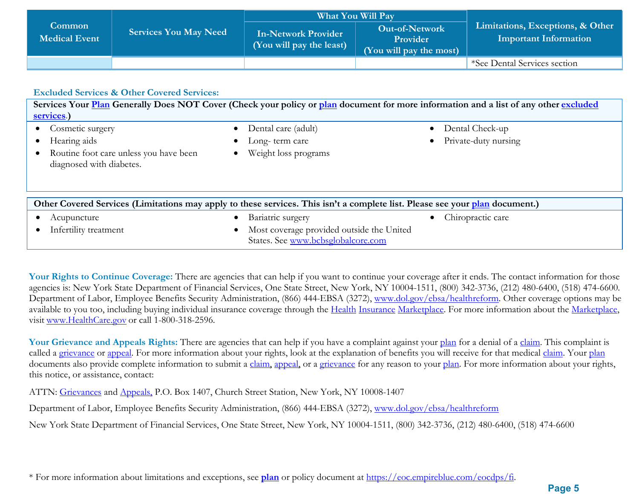|                                       |                              |                                                        | <b>What You Will Pay</b>                                            |                                                                  |
|---------------------------------------|------------------------------|--------------------------------------------------------|---------------------------------------------------------------------|------------------------------------------------------------------|
| <b>Common</b><br><b>Medical Event</b> | <b>Services You May Need</b> | <b>In-Network Provider</b><br>(You will pay the least) | <b>Out-of-Network</b><br><b>Provider</b><br>(You will pay the most) | Limitations, Exceptions, & Other<br><b>Important Information</b> |
|                                       |                              |                                                        |                                                                     | *See Dental Services section                                     |

#### **Excluded Services & Other Covered Services:**

**Services Your Plan Generally Does NOT Cover (Check your policy or plan document for more information and a list of any other [excluded](https://www.healthcare.gov/sbc-glossary/)  [services](https://www.healthcare.gov/sbc-glossary/)**.**)** • Cosmetic surgery • Dental care (adult) • Dental Check-up • Hearing aids • Long-term care • Private-duty nursing • Routine foot care unless you have been diagnosed with diabetes. • Weight loss programs **Other Covered Services (Limitations may apply to these services. This isn't a complete list. Please see your plan document.)**  • Acupuncture • Bariatric surgery • Chiropractic care • Infertility treatment • Most coverage provided outside the United States. See [www.bcbsglobalcore.com](http://www.bcbsglobalcore.com/)

Your Rights to Continue Coverage: There are agencies that can help if you want to continue your coverage after it ends. The contact information for those agencies is: New York State Department of Financial Services, One State Street, New York, NY 10004-1511, (800) 342-3736, (212) 480-6400, (518) 474-6600. Department of Labor, Employee Benefits Security Administration, (866) 444-EBSA (3272), [www.dol.gov/ebsa/healthreform.](http://www.dol.gov/ebsa/healthreform) Other coverage options may be available to you too, including buying individual insurance coverage through the Health Insurance Marketplace. For more information about the Marketplace, visit [www.HealthCare.gov](https://www.healthcare.gov/) or call 1-800-318-2596.

Your Grievance and Appeals Rights: There are agencies that can help if you have a complaint against your [plan](https://www.healthcare.gov/sbc-glossary/) for a denial of a [claim.](https://www.healthcare.gov/sbc-glossary/) This complaint is called a grievance or appeal. For more information about your rights, look at the explanation of benefits you will receive for that medical claim. Your plan documents also provide complete information to submit a claim, appeal, or a grievance for any reason to your plan. For more information about your rights, this notice, or assistance, contact:

ATTN: Grievances and Appeals, P.O. Box 1407, Church Street Station, New York, NY 10008-1407

Department of Labor, Employee Benefits Security Administration, (866) 444-EBSA (3272), [www.dol.gov/ebsa/healthreform](http://www.dol.gov/ebsa/healthreform)

New York State Department of Financial Services, One State Street, New York, NY 10004-1511, (800) 342-3736, (212) 480-6400, (518) 474-6600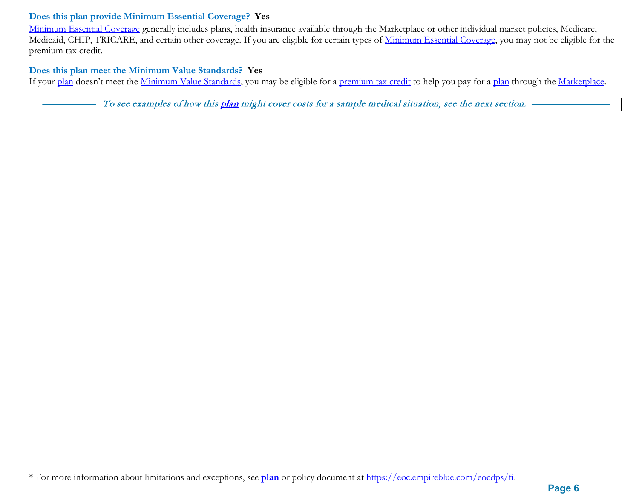#### **Does this plan provide Minimum Essential Coverage? Yes**

Minimum Essential Coverage generally includes plans, health insurance available through the Marketplace or other individual market policies, Medicare, Medicaid, CHIP, TRICARE, and certain other coverage. If you are eligible for certain types of Minimum Essential Coverage, you may not be eligible for the premium tax credit.

#### **Does this plan meet the Minimum Value Standards? Yes**

If your plan doesn't meet the Minimum Value Standards, you may be eligible for a premium tax credit to help you pay for a plan through the Marketplace.

To see examples of how this plan might cover costs for a sample medical situation, see the next section. -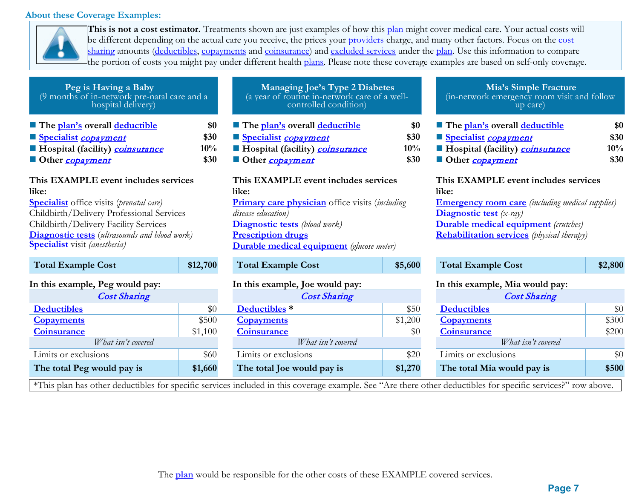#### **About these Coverage Examples:**



**This is not a cost estimator.** Treatments shown are just examples of how this plan might cover medical care. Your actual costs will be different depending on the actual care you receive, the prices your providers charge, and many other factors. Focus on the cost sharing amounts (deductibles, copayments and coinsurance) and excluded services under the plan. Use this information to compare the portion of costs you might pay under different health plans. Please note these coverage examples are based on self-only coverage.

| Peg is Having a Baby<br>(9 months of in-network pre-natal care and a<br>hospital delivery)                                                                                                                                                                                                      |                            | Managing Joe's Type 2 Diabetes<br>(a year of routine in-network care of a well-<br>controlled condition)                                                                                                                                               |                               | Mia's Simple Fracture<br>(in-network emergency room visit and follow<br>up care)                                                                                                                                                                 |                            |
|-------------------------------------------------------------------------------------------------------------------------------------------------------------------------------------------------------------------------------------------------------------------------------------------------|----------------------------|--------------------------------------------------------------------------------------------------------------------------------------------------------------------------------------------------------------------------------------------------------|-------------------------------|--------------------------------------------------------------------------------------------------------------------------------------------------------------------------------------------------------------------------------------------------|----------------------------|
| The plan's overall deductible<br>Specialist copayment<br>Hospital (facility) <i>coinsurance</i><br>Other <i>copayment</i>                                                                                                                                                                       | \$0<br>\$30<br>10%<br>\$30 | The plan's overall deductible<br>Specialist copayment<br>Hospital (facility) coinsurance<br>Other <i>copayment</i>                                                                                                                                     | \$0<br>\$30<br>$10\%$<br>\$30 | The plan's overall deductible<br>Specialist copayment<br>Hospital (facility) <b>coinsurance</b><br>Other copayment                                                                                                                               | \$0<br>\$30<br>10%<br>\$30 |
| This EXAMPLE event includes services<br>like:<br><b>Specialist</b> office visits ( <i>prenatal care</i> )<br>Childbirth/Delivery Professional Services<br>Childbirth/Delivery Facility Services<br><b>Diagnostic tests</b> (ultrasounds and blood work)<br><b>Specialist</b> visit (anesthesia) |                            | This EXAMPLE event includes services<br>like:<br><b>Primary care physician</b> office visits (including<br>disease education)<br><b>Diagnostic tests</b> (blood work)<br><b>Prescription drugs</b><br><b>Durable medical equipment</b> (glucose meter) |                               | This EXAMPLE event includes services<br>like:<br><b>Emergency room care</b> (including medical supplies)<br><b>Diagnostic test</b> $(x-ray)$<br><b>Durable medical equipment</b> (crutches)<br><b>Rehabilitation services</b> (physical therapy) |                            |
| <b>Total Example Cost</b>                                                                                                                                                                                                                                                                       | \$12,700                   | <b>Total Example Cost</b>                                                                                                                                                                                                                              | \$5,600                       | <b>Total Example Cost</b>                                                                                                                                                                                                                        | \$2,800                    |
| In this example, Peg would pay:                                                                                                                                                                                                                                                                 |                            | In this example, Joe would pay:                                                                                                                                                                                                                        |                               | In this example, Mia would pay:                                                                                                                                                                                                                  |                            |
| <b>Cost Sharing</b>                                                                                                                                                                                                                                                                             |                            | <b>Cost Sharing</b>                                                                                                                                                                                                                                    |                               | <b>Cost Sharing</b>                                                                                                                                                                                                                              |                            |
| <b>Deductibles</b>                                                                                                                                                                                                                                                                              | \$0                        | Deductibles <sup>*</sup>                                                                                                                                                                                                                               | \$50                          | <b>Deductibles</b>                                                                                                                                                                                                                               | \$0                        |
| <b>Copayments</b>                                                                                                                                                                                                                                                                               | \$500                      | <b>Copayments</b>                                                                                                                                                                                                                                      | \$1,200                       | <b>Copayments</b>                                                                                                                                                                                                                                | \$300                      |
| <b>Coinsurance</b>                                                                                                                                                                                                                                                                              | \$1,100                    | <b>Coinsurance</b>                                                                                                                                                                                                                                     | \$0                           | <b>Coinsurance</b>                                                                                                                                                                                                                               | \$200                      |
| $W/h$ at $\int$ isn't converged                                                                                                                                                                                                                                                                 |                            | $W/h$ at $\int$ is $n't$ converged                                                                                                                                                                                                                     |                               | $What$ isn't convert                                                                                                                                                                                                                             |                            |

| (a year of routine in-network care of a well-<br>controlled condition) |  |
|------------------------------------------------------------------------|--|
| The plan's overall deductible<br>Specialist <i>conavment</i>           |  |

# **Example 1 EXAMPLE EXAMPLE EXAMPLE EXAMPLE EXAMPLE EXAMPLE EXAMPLE EXAMPLE EXAMPLE EXAMPLE EXAMPLE EXAMPLE EXAMPLE EXAMPLE EXAMPLE EXAMPLE EXAMPLE EXAMPLE EXAMPLE EXAMPLE EXAMPLE EXAMPLE EXAMPLE EXAMPLE EXAMPLE EXAMPLE E Primary care physician** office visits (*including*  **Diagnostic tests** *(blood work)* **Prescription drugs <u>Equipment</u>** (glucose meter)

| <b>Cost Sharing</b> |         | <b>Cost Sharing</b>        |         | <b>Cost Sharing</b>        |
|---------------------|---------|----------------------------|---------|----------------------------|
|                     | \$0     | Deductibles <sup>*</sup>   | \$50    | <b>Deductibles</b>         |
|                     | \$500   | <b>Copayments</b>          | \$1,200 | <b>Copayments</b>          |
|                     | \$1,100 | <b>Coinsurance</b>         | \$0     | <b>Coinsurance</b>         |
| What isn't covered  |         | What isn't covered         |         | What isn't covered         |
| ions                | \$60    | Limits or exclusions       | \$20    | Limits or exclusions       |
| vould pay is        | \$1,660 | The total Joe would pay is | \$1,270 | The total Mia would pay is |

\*This plan has other deductibles for specific services included in this coverage example. See "Are there other deductibles for specific services?" row above.

# **Mia's Simple Fracture** (in-network emergency room visit and follow up care)

| The plan's overall deductible   | \$0    |
|---------------------------------|--------|
| Specialist copayment            | \$30   |
| Hospital (facility) coinsurance | $10\%$ |
| Other <i>copayment</i>          | \$30   |

#### **This EXAMPLE event includes services like:**

| <b>Total Example Cost</b>      | \$12,700 | <b>Total Example Cost</b>       | \$5,600 | <b>Total Example Cost</b>       | \$2,800 |
|--------------------------------|----------|---------------------------------|---------|---------------------------------|---------|
| n this example, Peg would pay: |          | In this example, Joe would pay: |         | In this example, Mia would pay: |         |
| <b>Cost Sharing</b>            |          | <b>Cost Sharing</b>             |         | <b>Cost Sharing</b>             |         |
| <b>Deductibles</b>             | \$0      | Deductibles <sup>*</sup>        | \$50    | <b>Deductibles</b>              | \$0     |
| <b>Copayments</b>              | \$500    | <b>Copayments</b>               | \$1,200 | <b>Copayments</b>               | \$300   |
| <b>Coinsurance</b>             | \$1,100  | <b>Coinsurance</b>              | \$0     | <b>Coinsurance</b>              | \$200   |
| What isn't covered             |          | What isn't covered              |         | What isn't covered              |         |
| Limits or exclusions           | \$60     | Limits or exclusions            | \$20    | Limits or exclusions            | \$0     |
| The total Peg would pay is     | \$1,660  | The total Joe would pay is      | \$1,270 | The total Mia would pay is      | \$500   |
|                                |          |                                 |         |                                 |         |

The **plan** would be responsible for the other costs of these EXAMPLE covered services.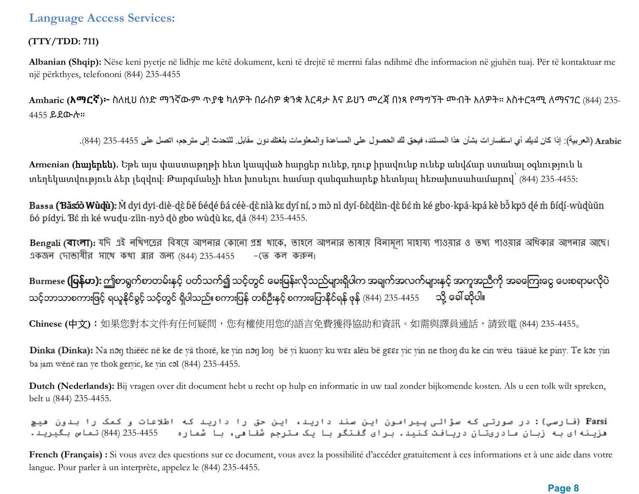### **(TTY/TDD: 711)**

**Albanian (Shqip):** Nëse keni pyetje në lidhje me këtë dokument, keni të drejtë të merrni falas ndihmë dhe informacion në gjuhën tuaj. Për të kontaktuar me një përkthyes, telefononi (844) 235-4455

**Amharic (አማርኛ)፦** ስለዚህ ሰነድ ማንኛውም ጥያቄ ካለዎት በራስዎ ቋንቋ እርዳታ እና ይህን መረጃ በነጻ የማግኘት መብት አለዎት። አስተርጓሚ ለማናገር (844) 235- 4455 ይደውሉ።

Arabic (العربية): إذا كان لديك أي استفسار ات بشأن هذا المستند، فيحق لك الحصول على المساعدة والمعلومات بلغتك دون مقابل للتحدث إلى مترجم، اتصل على 4455-235 (844).

**Armenian (**հայերեն**).** Եթե այս փաստաթղթի հետ կապված հարցեր ունեք, դուք իրավունք ունեք անվճար ստանալ օգնություն և տեղեկատվություն ձեր լեզվով: Թարգմանչի հետ խոսելու համար զանգահարեք հետևյալ հեռախոսահամարով՝ (844) 235-4455:

Bassa (Băsóò Wùdù): M dyi dyi-diè-dè bě bédé bá céè-dè nìà kɛ dyí ní, ɔ mò nì dyí-bèdèìn-dè bé m̀ ké gbo-kpá-kpá kè bỗ kpõ dé m̀ bídí-wùdùǔn bó pídyi. Bé m ké wudu-ziìn-nyò dò gbo wùdù ke, dá (844) 235-4455.

Bengali (বাংলা): যদি এই নথিপত্রের বিষয়ে আপনার কোনো প্রশ্ন খাকে, তাহলে আপনার ভাষায় বিনামূল্য সাওয়ার ও তথ্য পাওয়ার অধিকার আপনার আছে। একজন (দাভাষীর সাথে কথা ব্লার জন্য (844) 235-4455  $-$  (ত কল করুন।

Burmese **(ပြန်မာ):** ဤစာရွက်စာတမ်းနှင့် ပတ်သက်၍ သင့်တွင် မေးမြန်းလိုသည်များရှိပါက အချက်အလက်များနှင့် အကူအညီကို အခကြေးငွေ ပေးစရာမလိုပဲ သင့်ဘာသာစကားဖြင့် ရယူနိုင်ခွင့် သင့်တွင် ရှိပါသည်။ စကားပြန် တစ်ဦးနှင့် စကားပြောနိုင်ရန် ဖုန် (844) 235-4455 ထို့ ခေါ်ဆိုပါ။

**Chinese (**中文**)**:如果您對本文件有任何疑問,您有權使用您的語言免費獲得協助和資訊。如需與譯員通話,請致電 (844) 235-4455。

Dinka (Dinka): Na non thiëëc në ke de yä thorë, ke yin non lon bë yi kuony ku wer alëu bë geer yic yin ne thon du ke cin wëu tääuë ke piny. Te kor yin ba jam wënë ran ye thok geryic, ke yin col (844) 235-4455.

**Dutch (Nederlands):** Bij vragen over dit document hebt u recht op hulp en informatie in uw taal zonder bijkomende kosten. Als u een tolk wilt spreken, belt u (844) 235-4455.

.<br>Farsi (فارسی): در صورتی که سؤالی پیرامون این سند دارید، این حق را دارید که اطلاعات و کمک را بدون هیچ هزینه ای به زبان مادریتان دریافت کنید. برای گفتگو با یک مترجم شفا هی، با شماره = 4455-235 (844) تماس بگیرید.

French (Français) : Si vous avez des questions sur ce document, vous avez la possibilité d'accéder gratuitement à ces informations et à une aide dans votre langue. Pour parler à un interprète, appelez le (844) 235-4455.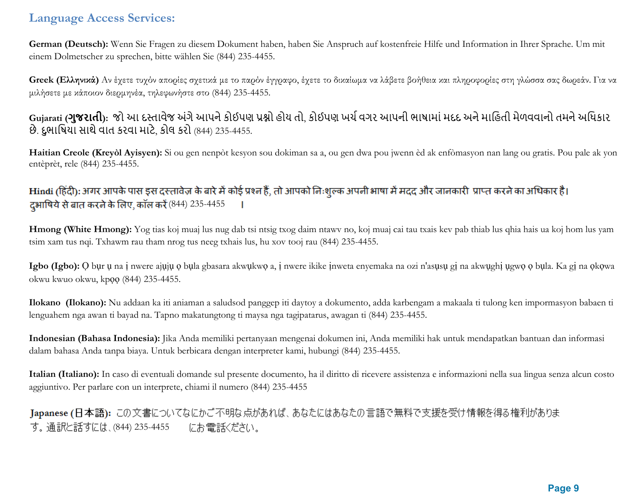**German (Deutsch):** Wenn Sie Fragen zu diesem Dokument haben, haben Sie Anspruch auf kostenfreie Hilfe und Information in Ihrer Sprache. Um mit einem Dolmetscher zu sprechen, bitte wählen Sie (844) 235-4455.

**Greek (Ελληνικά)** Αν έχετε τυχόν απορίες σχετικά με το παρόν έγγραφο, έχετε το δικαίωμα να λάβετε βοήθεια και πληροφορίες στη γλώσσα σας δωρεάν. Για να μιλήσετε με κάποιον διερμηνέα, τηλεφωνήστε στο (844) 235-4455.

## Gujarati (**ગુજરાતી**): જો આ દસ્તાવેજ અંગે આપને કોઈપણ પ્રશ્નો હોય તો, કોઈપણ ખર્ચ વગર આપની ભાષામાં મદદ અને માહિતી મેળવવાનો તમને અધિકાર છે. દુભાિષયા સાથેવાત કરવા માટે, કોલ કરો (844) 235-4455.

**Haitian Creole (Kreyòl Ayisyen):** Si ou gen nenpòt kesyon sou dokiman sa a, ou gen dwa pou jwenn èd ak enfòmasyon nan lang ou gratis. Pou pale ak yon entèprèt, rele (844) 235-4455.

## Hindi (हिंदी): अगर आपके पास इस दस्तावेज़ के बारे में कोई प्रश्न हैं, तो आपको निःशुल्क अपनी भाषा में मदद और जानकारी प्राप्त करने का अधिकार है। दभाषिये से बात करने के लिए, कॉल करें (844) 235-4455

**Hmong (White Hmong):** Yog tias koj muaj lus nug dab tsi ntsig txog daim ntawv no, koj muaj cai tau txais kev pab thiab lus qhia hais ua koj hom lus yam tsim xam tus nqi. Txhawm rau tham nrog tus neeg txhais lus, hu xov tooj rau (844) 235-4455.

**Igbo (Igbo):** Ọ bụr ụ na ị nwere ajụjụ ọ bụla gbasara akwụkwọ a, ị nwere ikike ịnweta enyemaka na ozi n'asụsụ gị na akwụghị ụgwọ ọ bụla. Ka gị na ọkọwa okwu kwuo okwu, kpọọ (844) 235-4455.

**Ilokano (Ilokano):** Nu addaan ka iti aniaman a saludsod panggep iti daytoy a dokumento, adda karbengam a makaala ti tulong ken impormasyon babaen ti lenguahem nga awan ti bayad na. Tapno makatungtong ti maysa nga tagipatarus, awagan ti (844) 235-4455.

**Indonesian (Bahasa Indonesia):** Jika Anda memiliki pertanyaan mengenai dokumen ini, Anda memiliki hak untuk mendapatkan bantuan dan informasi dalam bahasa Anda tanpa biaya. Untuk berbicara dengan interpreter kami, hubungi (844) 235-4455.

**Italian (Italiano):** In caso di eventuali domande sul presente documento, ha il diritto di ricevere assistenza e informazioni nella sua lingua senza alcun costo aggiuntivo. Per parlare con un interprete, chiami il numero (844) 235-4455

Japanese (日本語): この文書についてなにかご不明な点があれば、あなたにはあなたの言語で無料で支援を受け情報を得る権利がありま す。通訳と話すには、(844) 235-4455 にお電話ください。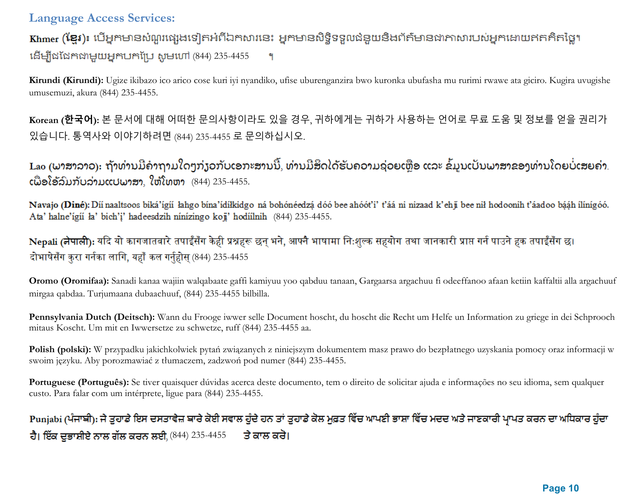Khmer (ខ្មែរ)៖ បើអ្នកមានសំណួរផ្សេងទៀតអំពីឯកសារនេះ អ្នកមានសិទ្ធិទទួលជំនួយនិងព័ត៌មានជាភាសារបស់អ្នកដោយឥតគិតថ្លៃ។ (844) 235-4455 ٩

**Kirundi (Kirundi):** Ugize ikibazo ico arico cose kuri iyi nyandiko, ufise uburenganzira bwo kuronka ubufasha mu rurimi rwawe ata giciro. Kugira uvugishe umusemuzi, akura (844) 235-4455.

**Korean (한국어):** 본 문서에 대해 어떠한 문의사항이라도 있을 경우, 귀하에게는 귀하가 사용하는 언어로 무료 도움 및 정보를 얻을 권리가 있습니다. 통역사와 이야기하려면 (844) 235-4455 로 문의하십시오.

Lao (ພາສາລາວ): ຖ້າທ່ານມີຄຳຖາມໃດໆກ່ຽວກັບເອກະສານນີ້, ທ່ານມີສິດໄດ້ຮັບຄວາມຊ່ວຍເຫຼືອ ແລະ ຂໍ້ມູນເປັນພາສາຂອງທ່ານໂດຍບໍ່ເສຍຄ່າ.  $c$ ພື່ອໂອ້ລົມກັບລ່າມແປພາສາ, ໃຫ້ໂທຫາ  $(844)$  235-4455.

Navajo (Diné): Díí naaltsoos biká'ígíí lahgo bína'ídílkidgo ná bohónéedzá dóó bee ahóót'i' t'áá ni nizaad k'ehji bee nil hodoonih t'áadoo bááh ílínígóó. Ata' halne'ígíi ła' bich'i' hadeesdzih nínízingo koji' hodíilnih (844) 235-4455.

Nepali (नेपाली): यदि यो कागजातबारे तपाईँसँग केही प्रश्नहरू छन् भने, आफ्नै भाषामा निःशुल्क सहयोग तथा जानकारी प्राप्त गर्न पाउने हक तपाईँसँग छ। दोभाषेसँग कुरा गर्नका लागि, यहाँ कल गर्नुहोस् (844) 235-4455

**Oromo (Oromifaa):** Sanadi kanaa wajiin walqabaate gaffi kamiyuu yoo qabduu tanaan, Gargaarsa argachuu fi odeeffanoo afaan ketiin kaffaltii alla argachuuf mirgaa qabdaa. Turjumaana dubaachuuf, (844) 235-4455 bilbilla.

**Pennsylvania Dutch (Deitsch):** Wann du Frooge iwwer selle Document hoscht, du hoscht die Recht um Helfe un Information zu griege in dei Schprooch mitaus Koscht. Um mit en Iwwersetze zu schwetze, ruff (844) 235-4455 aa.

**Polish (polski):** W przypadku jakichkolwiek pytań związanych z niniejszym dokumentem masz prawo do bezpłatnego uzyskania pomocy oraz informacji w swoim języku. Aby porozmawiać z tłumaczem, zadzwoń pod numer (844) 235-4455.

Portuguese (Português): Se tiver quaisquer dúvidas acerca deste documento, tem o direito de solicitar ajuda e informações no seu idioma, sem qualquer custo. Para falar com um intérprete, ligue para (844) 235-4455.

# Punjabi (ਪੰਜਾਬੀ): ਜੇ ਤੁਹਾਡੇ ਇਸ ਦਸਤਾਵੇਜ਼ ਬਾਰੇ ਕੋਈ ਸਵਾਲ ਹੁੰਦੇ ਹਨ ਤਾਂ ਤੁਹਾਡੇ ਕੋਲ ਮੁਫ਼ਤ ਵਿੱਚ ਆਪਣੀ ਭਾਸ਼ਾ ਵਿੱਚ ਮਦਦ ਅਤੇ ਜਾਣਕਾਰੀ ਪ੍ਰਾਪਤ ਕਰਨ ਦਾ ਅਧਿਕਾਰ ਹੁੰਦਾ ਹੈ। ਇੱਕ ਦੁਭਾਸ਼ੀਏ ਨਾਲ ਗੱਲ ਕਰਨ ਲਈ, (844) 235-4455 ਤੇ ਕਾਲ ਕਰੋ।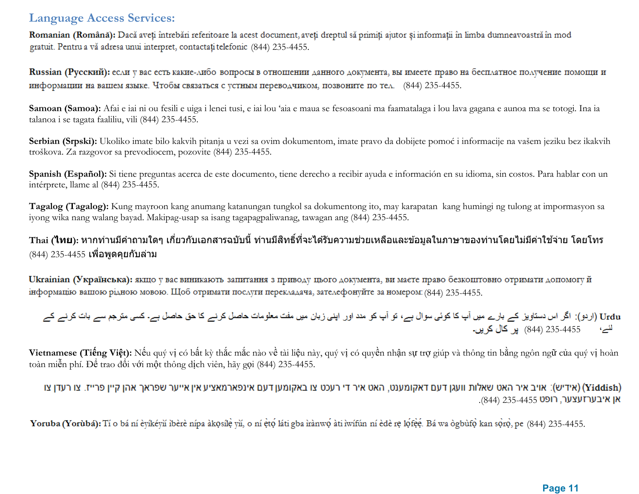Romanian (Română): Dacă aveți întrebări referitoare la acest document, aveți dreptul să primiți ajutor și informații în limba dumneavoastră în mod gratuit. Pentru a vă adresa unui interpret, contactați telefonic (844) 235-4455.

Russian (Русский): если у вас есть какие-либо вопросы в отношении данного документа, вы имеете право на бесплатное получение помощи и информации на вашем языке. Чтобы связаться с устным переводчиком, позвоните по тел. (844) 235-4455.

**Samoan (Samoa):** Afai e iai ni ou fesili e uiga i lenei tusi, e iai lou 'aia e maua se fesoasoani ma faamatalaga i lou lava gagana e aunoa ma se totogi. Ina ia talanoa i se tagata faaliliu, vili (844) 235-4455.

**Serbian (Srpski):** Ukoliko imate bilo kakvih pitanja u vezi sa ovim dokumentom, imate pravo da dobijete pomoć i informacije na vašem jeziku bez ikakvih troškova. Za razgovor sa prevodiocem, pozovite (844) 235-4455.

**Spanish (Español):** Si tiene preguntas acerca de este documento, tiene derecho a recibir ayuda e información en su idioma, sin costos. Para hablar con un intérprete, llame al (844) 235-4455.

**Tagalog (Tagalog):** Kung mayroon kang anumang katanungan tungkol sa dokumentong ito, may karapatan kang humingi ng tulong at impormasyon sa iyong wika nang walang bayad. Makipag-usap sa isang tagapagpaliwanag, tawagan ang (844) 235-4455.

### ้ Thai (**ไทย**): หากท่านมีคำถามใดๆ เกี่ยวกับเอกสารฉบับนี้ ท่านมีสิทธิ์ที่จะได*้*รับความช่วยเหลือและข้อมลในภาษาของท่านโดยไม่มีค่าใช้จ่าย โดยโทร  $(844)$  235-4455 เพื่อพูดคุยกับล่าม

Ukrainian (Українська): якщо у вас виникають запитання з приводу цього документа, ви маєте право безкоштовно отримати допомогу й інформацію вашою рідною мовою. Щоб отримати послуги перекладача, зателефонуйте за номером: (844) 235-4455.

Urdu (اردو): اگر اس دستاویز کے بارے میں آپ کا کوئی سوال ہے، تو آپ کو مدد اور اپنی زبان میں مفت معلومات حاصل کرنے کا حق حاصل ہے۔ کسی مترجم سے بات کرنے کے <sup>لئے،</sup> 235-4455 (844) پر کال کریں۔

**Vietnamese (Tiếng Việt):** Nếu quý vị có bất kỳ thắc mắc nào về tài liệu này, quý vị có quyền nhận sự trợ giúp và thông tin bằng ngôn ngữ của quý vị hoàn toàn miễn phí. Để trao đổi với một thông dịch viên, hãy gọi (844) 235-4455.

#### (אידיש): אויב איר האט שאלות וועגן דעם דאקומענט, האט איר די רעכט צו באקומען דעם אינפארמאציע אין אייער שפראך אהן קיין פרייז. צו רעדן צו (Yiddish) .(844) אן איבערזעצער, רופט 235-4455

Yoruba (Yorubá): Tí o bá ní èyíkéyň ibèrè nípa àkosíle vň, o ní eto láti gba irànwo àti iwífún ní èdè re lofee. Bá wa ògbufo kan soro, pe (844) 235-4455.